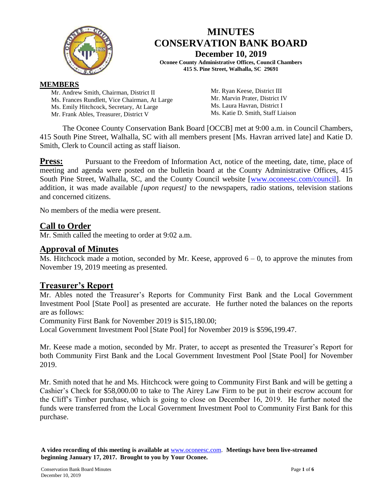

# **MINUTES CONSERVATION BANK BOARD December 10, 2019**

**Oconee County Administrative Offices, Council Chambers 415 S. Pine Street, Walhalla, SC 29691**

### **MEMBERS**

Mr. Andrew Smith, Chairman, District II Ms. Frances Rundlett, Vice Chairman, At Large Ms. Emily Hitchcock, Secretary, At Large Mr. Frank Ables, Treasurer, District V

Mr. Ryan Keese, District III Mr. Marvin Prater, District IV Ms. Laura Havran, District I Ms. Katie D. Smith, Staff Liaison

The Oconee County Conservation Bank Board [OCCB] met at 9:00 a.m. in Council Chambers, 415 South Pine Street, Walhalla, SC with all members present [Ms. Havran arrived late] and Katie D. Smith, Clerk to Council acting as staff liaison.

**Press:** Pursuant to the Freedom of Information Act, notice of the meeting, date, time, place of meeting and agenda were posted on the bulletin board at the County Administrative Offices, 415 South Pine Street, Walhalla, SC, and the County Council website [\[www.oconeesc.com/council\]](http://www.oconeesc.com/council). In addition, it was made available *[upon request]* to the newspapers, radio stations, television stations and concerned citizens.

No members of the media were present.

## **Call to Order**

Mr. Smith called the meeting to order at 9:02 a.m.

### **Approval of Minutes**

Ms. Hitchcock made a motion, seconded by Mr. Keese, approved  $6 - 0$ , to approve the minutes from November 19, 2019 meeting as presented.

### **Treasurer's Report**

Mr. Ables noted the Treasurer's Reports for Community First Bank and the Local Government Investment Pool [State Pool] as presented are accurate. He further noted the balances on the reports are as follows:

Community First Bank for November 2019 is \$15,180.00;

Local Government Investment Pool [State Pool] for November 2019 is \$596,199.47.

Mr. Keese made a motion, seconded by Mr. Prater, to accept as presented the Treasurer's Report for both Community First Bank and the Local Government Investment Pool [State Pool] for November 2019.

Mr. Smith noted that he and Ms. Hitchcock were going to Community First Bank and will be getting a Cashier's Check for \$58,000.00 to take to The Airey Law Firm to be put in their escrow account for the Cliff's Timber purchase, which is going to close on December 16, 2019. He further noted the funds were transferred from the Local Government Investment Pool to Community First Bank for this purchase.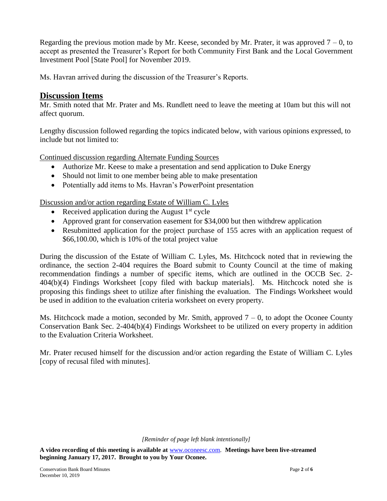Regarding the previous motion made by Mr. Keese, seconded by Mr. Prater, it was approved  $7 - 0$ , to accept as presented the Treasurer's Report for both Community First Bank and the Local Government Investment Pool [State Pool] for November 2019.

Ms. Havran arrived during the discussion of the Treasurer's Reports.

### **Discussion Items**

Mr. Smith noted that Mr. Prater and Ms. Rundlett need to leave the meeting at 10am but this will not affect quorum.

Lengthy discussion followed regarding the topics indicated below, with various opinions expressed, to include but not limited to:

Continued discussion regarding Alternate Funding Sources

- Authorize Mr. Keese to make a presentation and send application to Duke Energy
- Should not limit to one member being able to make presentation
- Potentially add items to Ms. Havran's PowerPoint presentation

Discussion and/or action regarding Estate of William C. Lyles

- Received application during the August  $1<sup>st</sup>$  cycle
- Approved grant for conservation easement for \$34,000 but then withdrew application
- Resubmitted application for the project purchase of 155 acres with an application request of \$66,100.00, which is 10% of the total project value

During the discussion of the Estate of William C. Lyles, Ms. Hitchcock noted that in reviewing the ordinance, the section 2-404 requires the Board submit to County Council at the time of making recommendation findings a number of specific items, which are outlined in the OCCB Sec. 2- 404(b)(4) Findings Worksheet [copy filed with backup materials]. Ms. Hitchcock noted she is proposing this findings sheet to utilize after finishing the evaluation. The Findings Worksheet would be used in addition to the evaluation criteria worksheet on every property.

Ms. Hitchcock made a motion, seconded by Mr. Smith, approved  $7 - 0$ , to adopt the Oconee County Conservation Bank Sec. 2-404(b)(4) Findings Worksheet to be utilized on every property in addition to the Evaluation Criteria Worksheet.

Mr. Prater recused himself for the discussion and/or action regarding the Estate of William C. Lyles [copy of recusal filed with minutes].

#### *[Reminder of page left blank intentionally]*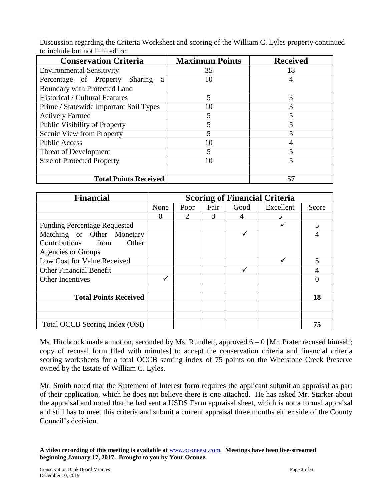| <b>Conservation Criteria</b>           | <b>Maximum Points</b> | <b>Received</b> |  |  |
|----------------------------------------|-----------------------|-----------------|--|--|
| <b>Environmental Sensitivity</b>       | 35                    | 18              |  |  |
| Percentage of Property Sharing<br>a    | 10                    |                 |  |  |
| Boundary with Protected Land           |                       |                 |  |  |
| <b>Historical / Cultural Features</b>  |                       |                 |  |  |
| Prime / Statewide Important Soil Types | 10                    |                 |  |  |
| <b>Actively Farmed</b>                 |                       |                 |  |  |
| Public Visibility of Property          |                       |                 |  |  |
| Scenic View from Property              |                       |                 |  |  |
| <b>Public Access</b>                   | 10                    |                 |  |  |
| Threat of Development                  |                       |                 |  |  |
| Size of Protected Property             | 10                    |                 |  |  |
|                                        |                       |                 |  |  |
| <b>Total Points Received</b>           |                       | 57              |  |  |

Discussion regarding the Criteria Worksheet and scoring of the William C. Lyles property continued to include but not limited to:

| <b>Financial</b>                    | <b>Scoring of Financial Criteria</b> |                             |               |      |           |       |
|-------------------------------------|--------------------------------------|-----------------------------|---------------|------|-----------|-------|
|                                     | None                                 | Poor                        | Fair          | Good | Excellent | Score |
|                                     | $\mathbf{\Omega}$                    | $\mathcal{D}_{\mathcal{L}}$ | $\mathcal{R}$ |      | 5         |       |
| <b>Funding Percentage Requested</b> |                                      |                             |               |      |           |       |
| Matching or Other Monetary          |                                      |                             |               |      |           |       |
| Contributions from<br>Other         |                                      |                             |               |      |           |       |
| <b>Agencies or Groups</b>           |                                      |                             |               |      |           |       |
| Low Cost for Value Received         |                                      |                             |               |      |           |       |
| <b>Other Financial Benefit</b>      |                                      |                             |               |      |           |       |
| Other Incentives                    | ✓                                    |                             |               |      |           |       |
|                                     |                                      |                             |               |      |           |       |
| <b>Total Points Received</b>        |                                      |                             |               |      |           | 18    |
|                                     |                                      |                             |               |      |           |       |
|                                     |                                      |                             |               |      |           |       |
| Total OCCB Scoring Index (OSI)      |                                      |                             |               |      |           | 75    |

Ms. Hitchcock made a motion, seconded by Ms. Rundlett, approved  $6 - 0$  [Mr. Prater recused himself; copy of recusal form filed with minutes] to accept the conservation criteria and financial criteria scoring worksheets for a total OCCB scoring index of 75 points on the Whetstone Creek Preserve owned by the Estate of William C. Lyles.

Mr. Smith noted that the Statement of Interest form requires the applicant submit an appraisal as part of their application, which he does not believe there is one attached. He has asked Mr. Starker about the appraisal and noted that he had sent a USDS Farm appraisal sheet, which is not a formal appraisal and still has to meet this criteria and submit a current appraisal three months either side of the County Council's decision.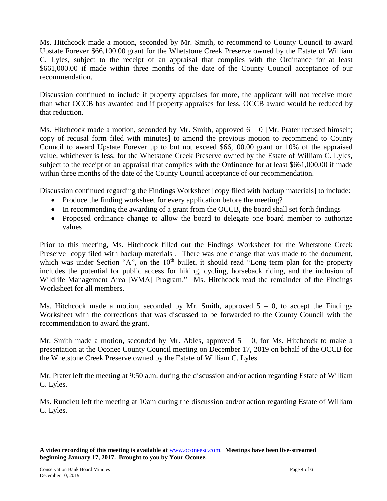Ms. Hitchcock made a motion, seconded by Mr. Smith, to recommend to County Council to award Upstate Forever \$66,100.00 grant for the Whetstone Creek Preserve owned by the Estate of William C. Lyles, subject to the receipt of an appraisal that complies with the Ordinance for at least \$661,000.00 if made within three months of the date of the County Council acceptance of our recommendation.

Discussion continued to include if property appraises for more, the applicant will not receive more than what OCCB has awarded and if property appraises for less, OCCB award would be reduced by that reduction.

Ms. Hitchcock made a motion, seconded by Mr. Smith, approved  $6 - 0$  [Mr. Prater recused himself; copy of recusal form filed with minutes] to amend the previous motion to recommend to County Council to award Upstate Forever up to but not exceed \$66,100.00 grant or 10% of the appraised value, whichever is less, for the Whetstone Creek Preserve owned by the Estate of William C. Lyles, subject to the receipt of an appraisal that complies with the Ordinance for at least \$661,000.00 if made within three months of the date of the County Council acceptance of our recommendation.

Discussion continued regarding the Findings Worksheet [copy filed with backup materials] to include:

- Produce the finding worksheet for every application before the meeting?
- In recommending the awarding of a grant from the OCCB, the board shall set forth findings
- Proposed ordinance change to allow the board to delegate one board member to authorize values

Prior to this meeting, Ms. Hitchcock filled out the Findings Worksheet for the Whetstone Creek Preserve [copy filed with backup materials]. There was one change that was made to the document, which was under Section "A", on the  $10<sup>th</sup>$  bullet, it should read "Long term plan for the property includes the potential for public access for hiking, cycling, horseback riding, and the inclusion of Wildlife Management Area [WMA] Program." Ms. Hitchcock read the remainder of the Findings Worksheet for all members.

Ms. Hitchcock made a motion, seconded by Mr. Smith, approved  $5 - 0$ , to accept the Findings Worksheet with the corrections that was discussed to be forwarded to the County Council with the recommendation to award the grant.

Mr. Smith made a motion, seconded by Mr. Ables, approved  $5 - 0$ , for Ms. Hitchcock to make a presentation at the Oconee County Council meeting on December 17, 2019 on behalf of the OCCB for the Whetstone Creek Preserve owned by the Estate of William C. Lyles.

Mr. Prater left the meeting at 9:50 a.m. during the discussion and/or action regarding Estate of William C. Lyles.

Ms. Rundlett left the meeting at 10am during the discussion and/or action regarding Estate of William C. Lyles.

**A video recording of this meeting is available at** [www.oconeesc.com.](http://www.oconeesc.com/) **Meetings have been live-streamed beginning January 17, 2017. Brought to you by Your Oconee.**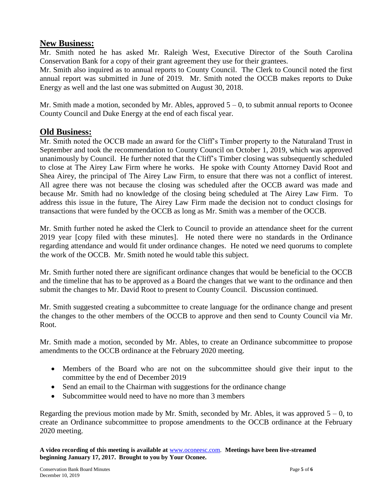## **New Business:**

Mr. Smith noted he has asked Mr. Raleigh West, Executive Director of the South Carolina Conservation Bank for a copy of their grant agreement they use for their grantees.

Mr. Smith also inquired as to annual reports to County Council. The Clerk to Council noted the first annual report was submitted in June of 2019. Mr. Smith noted the OCCB makes reports to Duke Energy as well and the last one was submitted on August 30, 2018.

Mr. Smith made a motion, seconded by Mr. Ables, approved  $5 - 0$ , to submit annual reports to Oconee County Council and Duke Energy at the end of each fiscal year.

## **Old Business:**

Mr. Smith noted the OCCB made an award for the Cliff's Timber property to the Naturaland Trust in September and took the recommendation to County Council on October 1, 2019, which was approved unanimously by Council. He further noted that the Cliff's Timber closing was subsequently scheduled to close at The Airey Law Firm where he works. He spoke with County Attorney David Root and Shea Airey, the principal of The Airey Law Firm, to ensure that there was not a conflict of interest. All agree there was not because the closing was scheduled after the OCCB award was made and because Mr. Smith had no knowledge of the closing being scheduled at The Airey Law Firm. To address this issue in the future, The Airey Law Firm made the decision not to conduct closings for transactions that were funded by the OCCB as long as Mr. Smith was a member of the OCCB.

Mr. Smith further noted he asked the Clerk to Council to provide an attendance sheet for the current 2019 year [copy filed with these minutes]. He noted there were no standards in the Ordinance regarding attendance and would fit under ordinance changes. He noted we need quorums to complete the work of the OCCB. Mr. Smith noted he would table this subject.

Mr. Smith further noted there are significant ordinance changes that would be beneficial to the OCCB and the timeline that has to be approved as a Board the changes that we want to the ordinance and then submit the changes to Mr. David Root to present to County Council. Discussion continued.

Mr. Smith suggested creating a subcommittee to create language for the ordinance change and present the changes to the other members of the OCCB to approve and then send to County Council via Mr. Root.

Mr. Smith made a motion, seconded by Mr. Ables, to create an Ordinance subcommittee to propose amendments to the OCCB ordinance at the February 2020 meeting.

- Members of the Board who are not on the subcommittee should give their input to the committee by the end of December 2019
- Send an email to the Chairman with suggestions for the ordinance change
- Subcommittee would need to have no more than 3 members

Regarding the previous motion made by Mr. Smith, seconded by Mr. Ables, it was approved  $5 - 0$ , to create an Ordinance subcommittee to propose amendments to the OCCB ordinance at the February 2020 meeting.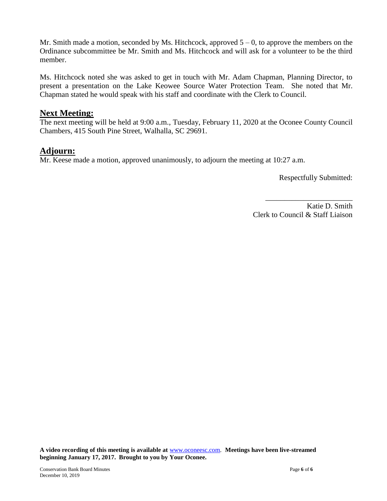Mr. Smith made a motion, seconded by Ms. Hitchcock, approved  $5 - 0$ , to approve the members on the Ordinance subcommittee be Mr. Smith and Ms. Hitchcock and will ask for a volunteer to be the third member.

Ms. Hitchcock noted she was asked to get in touch with Mr. Adam Chapman, Planning Director, to present a presentation on the Lake Keowee Source Water Protection Team. She noted that Mr. Chapman stated he would speak with his staff and coordinate with the Clerk to Council.

### **Next Meeting:**

The next meeting will be held at 9:00 a.m., Tuesday, February 11, 2020 at the Oconee County Council Chambers, 415 South Pine Street, Walhalla, SC 29691.

## **Adjourn:**

Mr. Keese made a motion, approved unanimously, to adjourn the meeting at 10:27 a.m.

Respectfully Submitted:

Katie D. Smith Clerk to Council & Staff Liaison

\_\_\_\_\_\_\_\_\_\_\_\_\_\_\_\_\_\_\_\_\_\_\_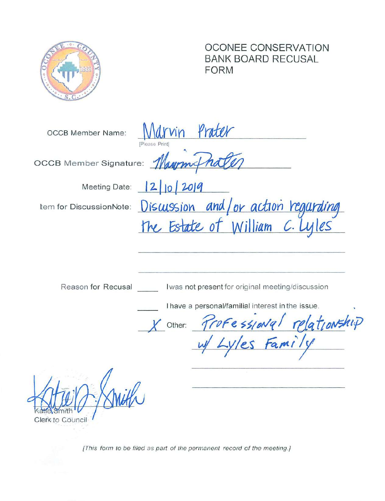

OCONEE CONSERVATION **BANK BOARD RECUSAL FORM** 

**OCCB Member Name:** 

**OCCB** Member Signature:

tem for DiscussionNote:

Maymit. Meeting Date: | 2 | 10 2019 Discussion and/or action regarding the Estate of William C. Lyles

drvin Prater

**IPlease Printl** 

Reason for Recusal

Iwas not present for original meeting/discussion

I have a personal/familial interest in the issue.

Other: Professional relationship w/ Lyles Family

Clerk to Council

[This form to be filed as part of the permanent record of the meeting.]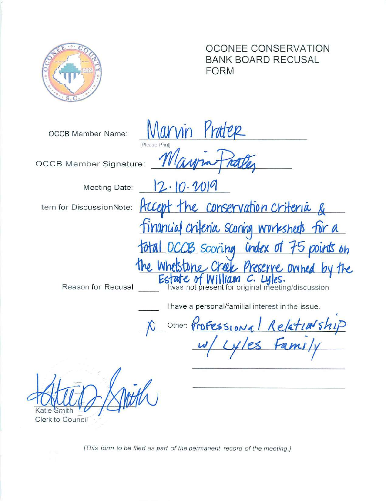

OCONEE CONSERVATION **BANK BOARD RECUSAL FORM** 

**OCCB Member Name:** 

**OCCB** Member Signature:

Meeting Date:

Reason for Recusal

Maron  $12.10.2019$ tem for DiscussionNote: Hacept the conservation criteria & Financial criteria sconing worksheets for a total OCCB scoring index of 75 points on the Whelstone Creek Preserve owned by the  $\frac{1}{100}$  of William C. Lyles. Estate of Wi

Marvin Prater

I have a personal/familial interest in the issue.

Other: Professional Relationship w/ Lyles Family

Clerk to Council

[This form to be filed as part of the permanent record of the meeting.]